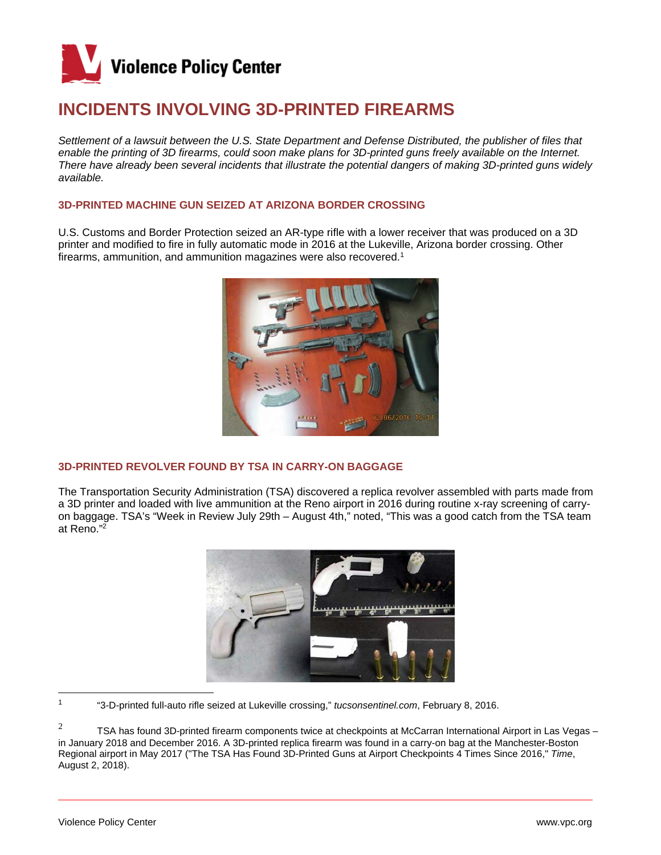

# **INCIDENTS INVOLVING 3D-PRINTED FIREARMS**

Settlement of a lawsuit between the U.S. State Department and Defense Distributed, the publisher of files that enable the printing of 3D firearms, could soon make plans for 3D-printed guns freely available on the Internet. *There have already been several incidents that illustrate the potential dangers of making 3D-printed guns widely available.* 

## **3D-PRINTED MACHINE GUN SEIZED AT ARIZONA BORDER CROSSING**

U.S. Customs and Border Protection seized an AR-type rifle with a lower receiver that was produced on a 3D printer and modified to fire in fully automatic mode in 2016 at the Lukeville, Arizona border crossing. Other firearms, ammunition, and ammunition magazines were also recovered.<sup>1</sup>



## **3D-PRINTED REVOLVER FOUND BY TSA IN CARRY-ON BAGGAGE**

The Transportation Security Administration (TSA) discovered a replica revolver assembled with parts made from a 3D printer and loaded with live ammunition at the Reno airport in 2016 during routine x-ray screening of carryon baggage. TSA's "Week in Review July 29th – August 4th," noted, "This was a good catch from the TSA team at Reno."<sup>2</sup>



<sup>1</sup> "3-D-printed full-auto rifle seized at Lukeville crossing," *tucsonsentinel.com*, February 8, 2016.

2 TSA has found 3D-printed firearm components twice at checkpoints at McCarran International Airport in Las Vegas – in January 2018 and December 2016. A 3D-printed replica firearm was found in a carry-on bag at the Manchester-Boston Regional airport in May 2017 ("The TSA Has Found 3D-Printed Guns at Airport Checkpoints 4 Times Since 2016," *Time*, August 2, 2018).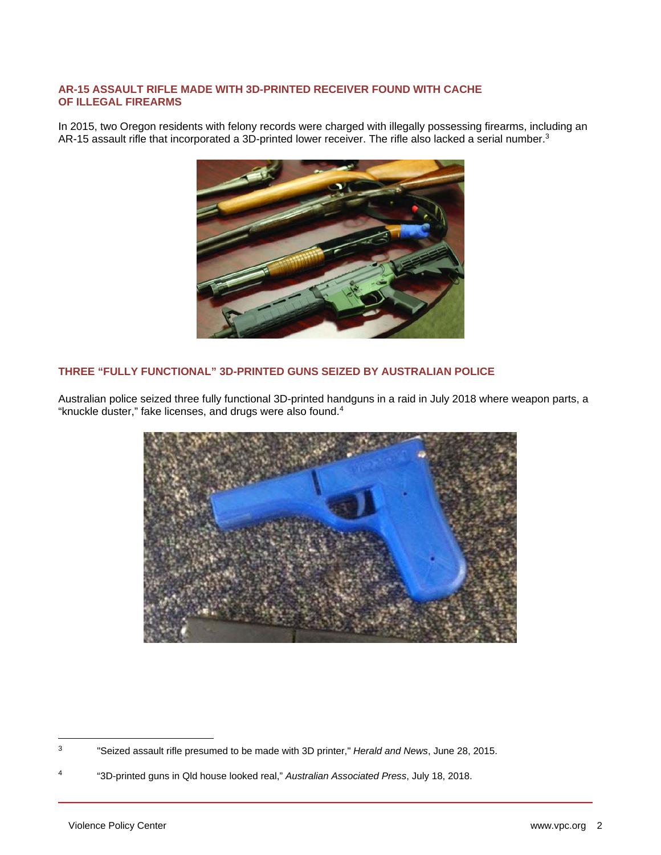## **AR-15 ASSAULT RIFLE MADE WITH 3D-PRINTED RECEIVER FOUND WITH CACHE OF ILLEGAL FIREARMS**

In 2015, two Oregon residents with felony records were charged with illegally possessing firearms, including an AR-15 assault rifle that incorporated a 3D-printed lower receiver. The rifle also lacked a serial number.<sup>3</sup>



## **THREE "FULLY FUNCTIONAL" 3D-PRINTED GUNS SEIZED BY AUSTRALIAN POLICE**

Australian police seized three fully functional 3D-printed handguns in a raid in July 2018 where weapon parts, a "knuckle duster," fake licenses, and drugs were also found.<sup>4</sup>



<sup>3</sup> "Seized assault rifle presumed to be made with 3D printer," *Herald and News*, June 28, 2015.

<sup>4</sup> "3D-printed guns in Qld house looked real," *Australian Associated Press*, July 18, 2018.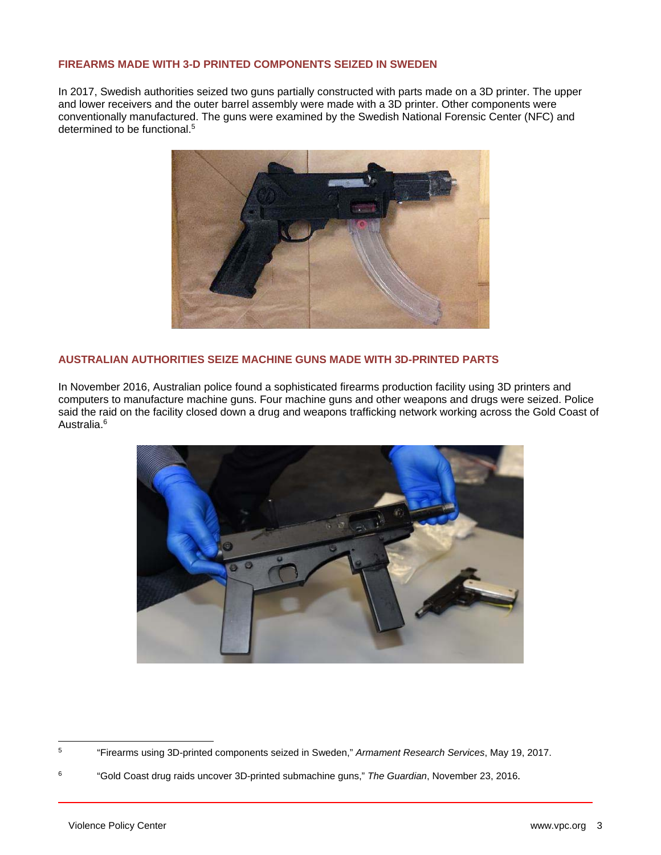#### **FIREARMS MADE WITH 3-D PRINTED COMPONENTS SEIZED IN SWEDEN**

In 2017, Swedish authorities seized two guns partially constructed with parts made on a 3D printer. The upper and lower receivers and the outer barrel assembly were made with a 3D printer. Other components were conventionally manufactured. The guns were examined by the Swedish National Forensic Center (NFC) and determined to be functional.<sup>5</sup>



## **AUSTRALIAN AUTHORITIES SEIZE MACHINE GUNS MADE WITH 3D-PRINTED PARTS**

In November 2016, Australian police found a sophisticated firearms production facility using 3D printers and computers to manufacture machine guns. Four machine guns and other weapons and drugs were seized. Police said the raid on the facility closed down a drug and weapons trafficking network working across the Gold Coast of Australia.6



<sup>5</sup> "Firearms using 3D-printed components seized in Sweden," *Armament Research Services*, May 19, 2017.

<sup>6 &</sup>quot;Gold Coast drug raids uncover 3D-printed submachine guns," *The Guardian*, November 23, 2016.